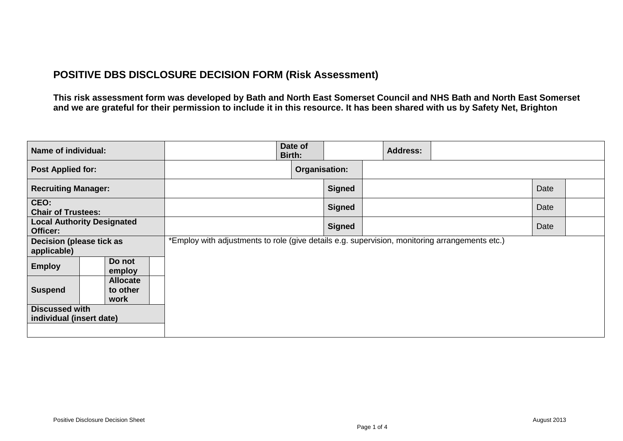## **POSITIVE DBS DISCLOSURE DECISION FORM (Risk Assessment)**

**This risk assessment form was developed by Bath and North East Somerset Council and NHS Bath and North East Somerset and we are grateful for their permission to include it in this resource. It has been shared with us by Safety Net, Brighton**

| Name of individual:                                   |                                                                                                | Date of<br>Birth: | <b>Address:</b> |      |
|-------------------------------------------------------|------------------------------------------------------------------------------------------------|-------------------|-----------------|------|
| <b>Post Applied for:</b>                              |                                                                                                | Organisation:     |                 |      |
| <b>Recruiting Manager:</b>                            |                                                                                                | <b>Signed</b>     |                 | Date |
| CEO:<br><b>Chair of Trustees:</b>                     |                                                                                                | <b>Signed</b>     |                 | Date |
| <b>Local Authority Designated</b><br>Officer:         |                                                                                                | <b>Signed</b>     |                 | Date |
| Decision (please tick as<br>applicable)               | *Employ with adjustments to role (give details e.g. supervision, monitoring arrangements etc.) |                   |                 |      |
| Do not<br><b>Employ</b><br>employ                     |                                                                                                |                   |                 |      |
| <b>Allocate</b><br><b>Suspend</b><br>to other<br>work |                                                                                                |                   |                 |      |
| <b>Discussed with</b><br>individual (insert date)     |                                                                                                |                   |                 |      |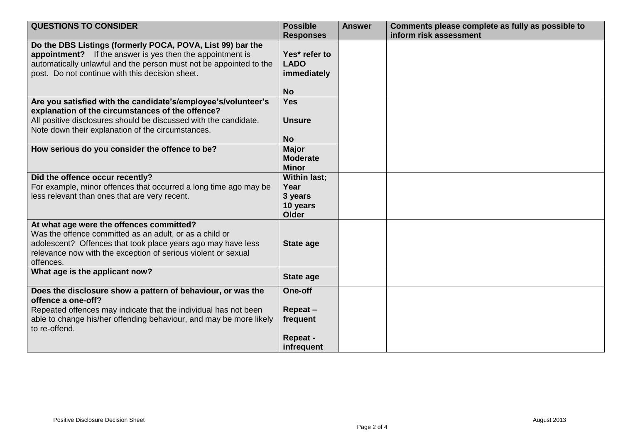| <b>QUESTIONS TO CONSIDER</b>                                                                                                                                                                                                                      | <b>Possible</b><br><b>Responses</b>                         | <b>Answer</b> | Comments please complete as fully as possible to<br>inform risk assessment |
|---------------------------------------------------------------------------------------------------------------------------------------------------------------------------------------------------------------------------------------------------|-------------------------------------------------------------|---------------|----------------------------------------------------------------------------|
| Do the DBS Listings (formerly POCA, POVA, List 99) bar the<br>appointment? If the answer is yes then the appointment is<br>automatically unlawful and the person must not be appointed to the<br>post. Do not continue with this decision sheet.  | Yes* refer to<br><b>LADO</b><br>immediately<br><b>No</b>    |               |                                                                            |
| Are you satisfied with the candidate's/employee's/volunteer's<br>explanation of the circumstances of the offence?<br>All positive disclosures should be discussed with the candidate.<br>Note down their explanation of the circumstances.        | <b>Yes</b><br><b>Unsure</b><br><b>No</b>                    |               |                                                                            |
| How serious do you consider the offence to be?                                                                                                                                                                                                    | Major<br><b>Moderate</b><br><b>Minor</b>                    |               |                                                                            |
| Did the offence occur recently?<br>For example, minor offences that occurred a long time ago may be<br>less relevant than ones that are very recent.                                                                                              | <b>Within last;</b><br>Year<br>3 years<br>10 years<br>Older |               |                                                                            |
| At what age were the offences committed?<br>Was the offence committed as an adult, or as a child or<br>adolescent? Offences that took place years ago may have less<br>relevance now with the exception of serious violent or sexual<br>offences. | <b>State age</b>                                            |               |                                                                            |
| What age is the applicant now?                                                                                                                                                                                                                    | <b>State age</b>                                            |               |                                                                            |
| Does the disclosure show a pattern of behaviour, or was the<br>offence a one-off?<br>Repeated offences may indicate that the individual has not been<br>able to change his/her offending behaviour, and may be more likely<br>to re-offend.       | One-off<br>Repeat-<br>frequent<br>Repeat -<br>infrequent    |               |                                                                            |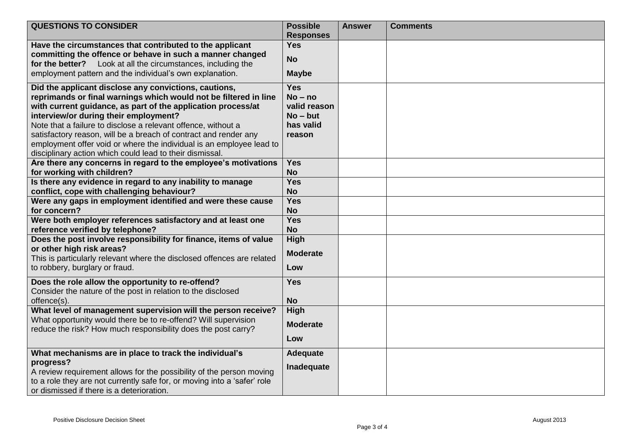| <b>QUESTIONS TO CONSIDER</b>                                                                                                                                                                                                                                                                                                                                                                                                                                                                                | <b>Possible</b><br><b>Responses</b>                                          | <b>Answer</b> | <b>Comments</b> |
|-------------------------------------------------------------------------------------------------------------------------------------------------------------------------------------------------------------------------------------------------------------------------------------------------------------------------------------------------------------------------------------------------------------------------------------------------------------------------------------------------------------|------------------------------------------------------------------------------|---------------|-----------------|
| Have the circumstances that contributed to the applicant<br>committing the offence or behave in such a manner changed<br>Look at all the circumstances, including the<br>for the better?<br>employment pattern and the individual's own explanation.                                                                                                                                                                                                                                                        | <b>Yes</b><br><b>No</b><br><b>Maybe</b>                                      |               |                 |
| Did the applicant disclose any convictions, cautions,<br>reprimands or final warnings which would not be filtered in line<br>with current guidance, as part of the application process/at<br>interview/or during their employment?<br>Note that a failure to disclose a relevant offence, without a<br>satisfactory reason, will be a breach of contract and render any<br>employment offer void or where the individual is an employee lead to<br>disciplinary action which could lead to their dismissal. | <b>Yes</b><br>$No - no$<br>valid reason<br>$No - but$<br>has valid<br>reason |               |                 |
| Are there any concerns in regard to the employee's motivations<br>for working with children?                                                                                                                                                                                                                                                                                                                                                                                                                | <b>Yes</b><br><b>No</b>                                                      |               |                 |
| Is there any evidence in regard to any inability to manage<br>conflict, cope with challenging behaviour?<br>Were any gaps in employment identified and were these cause                                                                                                                                                                                                                                                                                                                                     | <b>Yes</b><br><b>No</b><br><b>Yes</b>                                        |               |                 |
| for concern?                                                                                                                                                                                                                                                                                                                                                                                                                                                                                                | <b>No</b>                                                                    |               |                 |
| Were both employer references satisfactory and at least one<br>reference verified by telephone?                                                                                                                                                                                                                                                                                                                                                                                                             | <b>Yes</b><br><b>No</b>                                                      |               |                 |
| Does the post involve responsibility for finance, items of value<br>or other high risk areas?<br>This is particularly relevant where the disclosed offences are related<br>to robbery, burglary or fraud.                                                                                                                                                                                                                                                                                                   | High<br><b>Moderate</b><br>Low                                               |               |                 |
| Does the role allow the opportunity to re-offend?<br>Consider the nature of the post in relation to the disclosed<br>offence(s).                                                                                                                                                                                                                                                                                                                                                                            | <b>Yes</b><br><b>No</b>                                                      |               |                 |
| What level of management supervision will the person receive?<br>What opportunity would there be to re-offend? Will supervision<br>reduce the risk? How much responsibility does the post carry?                                                                                                                                                                                                                                                                                                            | <b>High</b><br><b>Moderate</b><br>Low                                        |               |                 |
| What mechanisms are in place to track the individual's<br>progress?<br>A review requirement allows for the possibility of the person moving<br>to a role they are not currently safe for, or moving into a 'safer' role<br>or dismissed if there is a deterioration.                                                                                                                                                                                                                                        | <b>Adequate</b><br>Inadequate                                                |               |                 |